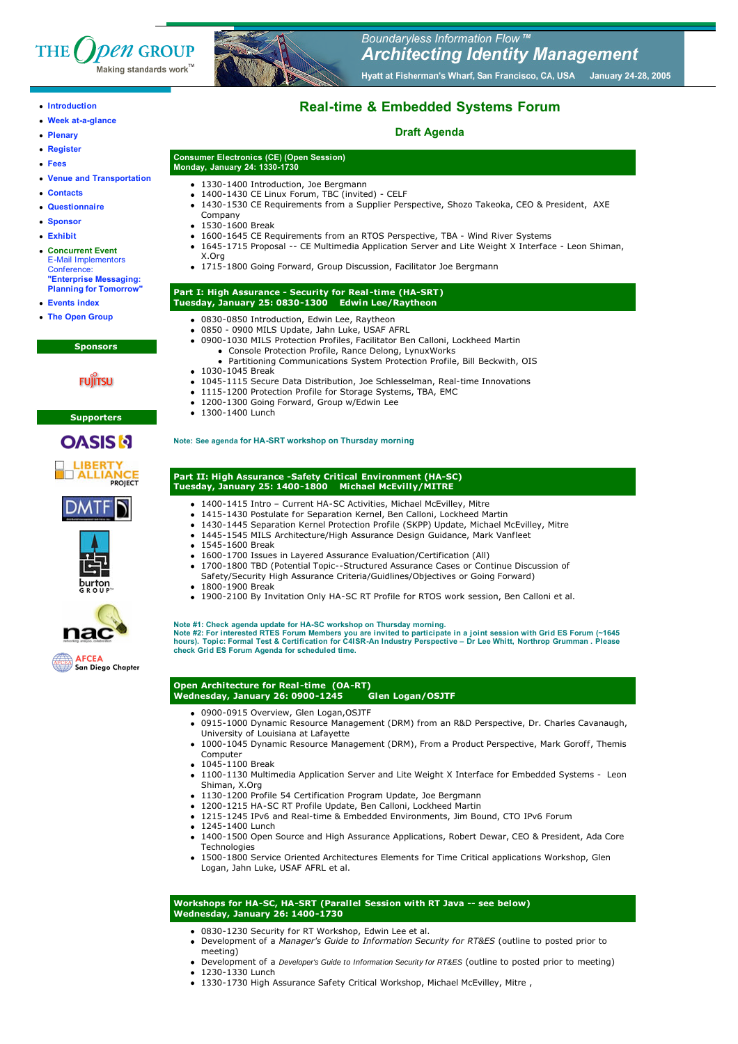



- **Week at-a-glance**
- **Plenary**
- **Register**
- **Fees**
- **Venue and Transportation**
- 
- **Contacts**
- **Questionnaire**
- **Sponsor**
- **Exhibit**
- **Concurrent Event** E-Mail Implementors **Conference "Enterprise Messaging:**
- **Planning for Tomorrow** • **Events index**
- **The Open Group**
	- **Sponsors**

# **FUJITSU**

#### **Supporters**











San Diego Chapter



### Boundaryless Information Flow ™ **Architecting Identity Management** Hyatt at Fisherman's Wharf, San Francisco, CA, USA January 24-28, 2005

# **Real-time & Embedded Systems Forum**

## **Draft Agenda**

# **Consumer Electronics (CE) (Open Session) Monday, January 24: 1330-1730**

- 1330-1400 Introduction, Joe Bergmann
- 1400-1430 CE Linux Forum, TBC (invited) CELF
- 1430-1530 CE Requirements from a Supplier Perspective, Shozo Takeoka, CEO & President, AXE
- Company • 1530-1600 Break
- 1600-1645 CE Requirements from an RTOS Perspective, TBA Wind River Systems
	- 1645-1715 Proposal -- CE Multimedia Application Server and Lite Weight X Interface Leon Shiman,
- X.Org 1715-1800 Going Forward, Group Discussion, Facilitator Joe Bergmann

#### **Part I: High Assurance - Security for Real -time (HA-SRT) Tuesday, January 25: 0830-1300 Edwin Lee/Raytheon**

- 
- 0830-0850 Introduction, Edwin Lee, Raytheon 0850 - 0900 MILS Update, Jahn Luke, USAF AFRL
	- 0900-1030 MILS Protection Profiles, Facilitator Ben Calloni, Lockheed Martin
	- Console Protection Profile, Rance Delong, LynuxWorks
	- Partitioning Communications System Protection Profile, Bill Beckwith, OIS
- 1030-1045 Break
- 1045-1115 Secure Data Distribution, Joe Schlesselman, Real-time Innovations
- 1115-1200 Protection Profile for Storage Systems, TBA, EMC
- 1200-1300 Going Forward, Group w/Edwin Lee
- 1300-1400 Lunch

#### **Note: See agenda for HA-SRT workshop on Thursday morning**

#### **Part II: High Assurance -Safety Critical Environment (HA-SC) Tuesday, January 25: 1400-1800 Michael McEvilly/MITRE**

- 1400-1415 Intro Current HA-SC Activities, Michael McEvilley, Mitre
	- 1415-1430 Postulate for Separation Kernel, Ben Calloni, Lockheed Martin
- 1430-1445 Separation Kernel Protection Profile (SKPP) Update, Michael McEvilley, Mitre
- 1445-1545 MILS Architecture/High Assurance Design Guidance, Mark Vanfleet
- 1545-1600 Break
- 1600-1700 Issues in Layered Assurance Evaluation/Certification (All)
	- 1700-1800 TBD (Potential Topic--Structured Assurance Cases or Continue Discussion of
	- Safety/Security High Assurance Criteria/Guidlines/Objectives or Going Forward)
- 1800-1900 Break
- 1900-2100 By Invitation Only HA-SC RT Profile for RTOS work session, Ben Calloni et al.

Note #1: Check agenda update for HA-SC workshop on Thursday morning.<br>Note #2: For interested RTES Forum Members you are invited to participate in a joint session with Grid ES Forum (~1645<br>hours). Topic: Formal Test & Cert **check Grid ES Forum Agenda for scheduled time.**

# **Open Architecture for Real -time (OA-RT)**

- **Wednesday, January 26: 0900-1245 Glen Logan/OSJTF**
	- 0900-0915 Overview, Glen Logan,OSJTF
	- 0915-1000 Dynamic Resource Management (DRM) from an R&D Perspective, Dr. Charles Cavanaugh, University of Louisiana at Lafayette
	- 1000-1045 Dynamic Resource Management (DRM), From a Product Perspective, Mark Goroff, Themis Computer
	- 1045-1100 Break
	- 1100-1130 Multimedia Application Server and Lite Weight X Interface for Embedded Systems Leon Shiman, X.Org
	- 1130-1200 Profile 54 Certification Program Update, Joe Bergmann
	- 1200-1215 HA-SC RT Profile Update, Ben Calloni, Lockheed Martin
	- 1215-1245 IPv6 and Real-time & Embedded Environments, Jim Bound, CTO IPv6 Forum
	- $-1245-1400$  Lunch
	- 1400-1500 Open Source and High Assurance Applications, Robert Dewar, CEO & President, Ada Core Technologies
	- 1500-1800 Service Oriented Architectures Elements for Time Critical applications Workshop, Glen Logan, Jahn Luke, USAF AFRL et al.

### **Workshops for HA-SC, HA-SRT (Parallel Session with RT Java -- see below) Wednesday, January 26: 1400-1730**

- 0830-1230 Security for RT Workshop, Edwin Lee et al.
- Development of a *Manager's Guide to Information Security for RT&ES* (outline to posted prior to meeting)
- Development of a Developer's Guide to Information Security for RT&ES (outline to posted prior to meeting)
- 1230-1330 Lunch
- 1330-1730 High Assurance Safety Critical Workshop, Michael McEvilley, Mitre ,